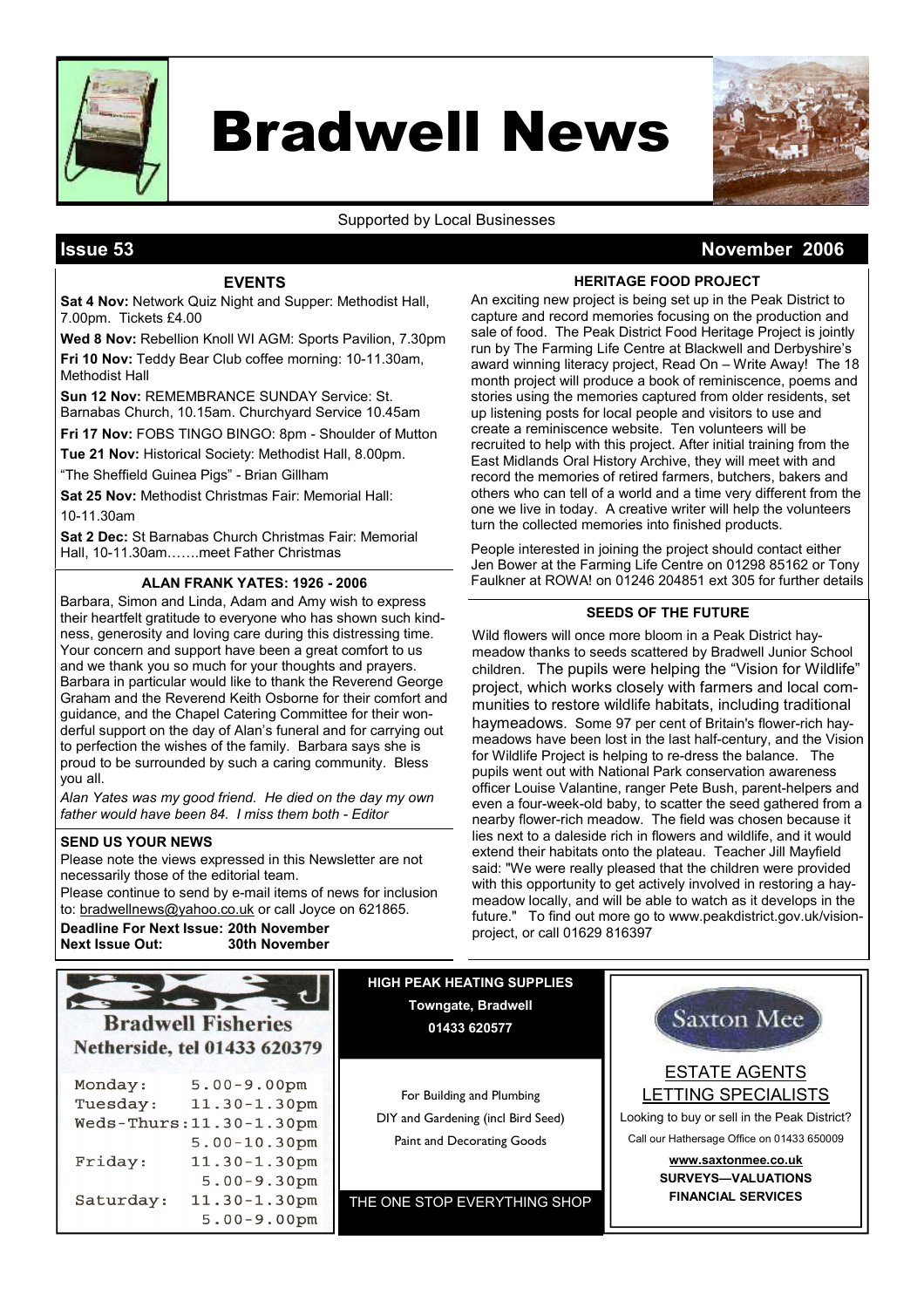

# Bradwell News

Supported by Local Businesses

# Issue 53 November 2006

### EVENTS

Sat 4 Nov: Network Quiz Night and Supper: Methodist Hall, 7.00pm. Tickets £4.00

Wed 8 Nov: Rebellion Knoll WI AGM: Sports Pavilion, 7.30pm Fri 10 Nov: Teddy Bear Club coffee morning: 10-11.30am, Methodist Hall

Sun 12 Nov: REMEMBRANCE SUNDAY Service: St. Barnabas Church, 10.15am. Churchyard Service 10.45am

Fri 17 Nov: FOBS TINGO BINGO: 8pm - Shoulder of Mutton Tue 21 Nov: Historical Society: Methodist Hall, 8,00pm.

"The Sheffield Guinea Pigs" - Brian Gillham

Sat 25 Nov: Methodist Christmas Fair: Memorial Hall: 10-11.30am

Sat 2 Dec: St Barnabas Church Christmas Fair: Memorial Hall, 10-11.30am…….meet Father Christmas

Barbara, Simon and Linda, Adam and Amy wish to express their heartfelt gratitude to everyone who has shown such kindness, generosity and loving care during this distressing time. Your concern and support have been a great comfort to us and we thank you so much for your thoughts and prayers. Barbara in particular would like to thank the Reverend George Graham and the Reverend Keith Osborne for their comfort and guidance, and the Chapel Catering Committee for their wonderful support on the day of Alan's funeral and for carrying out to perfection the wishes of the family. Barbara says she is proud to be surrounded by such a caring community. Bless you all.

Alan Yates was my good friend. He died on the day my own father would have been 84. I miss them both - Editor

#### SEND US YOUR NEWS

Please note the views expressed in this Newsletter are not necessarily those of the editorial team.

Please continue to send by e-mail items of news for inclusion to: bradwellnews@yahoo.co.uk or call Joyce on 621865. Deadline For Next Issue: 20th November **Next Issue Out:** 

HERITAGE FOOD PROJECT

An exciting new project is being set up in the Peak District to capture and record memories focusing on the production and sale of food. The Peak District Food Heritage Project is jointly run by The Farming Life Centre at Blackwell and Derbyshire's award winning literacy project, Read On – Write Away! The 18 month project will produce a book of reminiscence, poems and stories using the memories captured from older residents, set up listening posts for local people and visitors to use and create a reminiscence website. Ten volunteers will be recruited to help with this project. After initial training from the East Midlands Oral History Archive, they will meet with and record the memories of retired farmers, butchers, bakers and others who can tell of a world and a time very different from the one we live in today. A creative writer will help the volunteers turn the collected memories into finished products.

People interested in joining the project should contact either Jen Bower at the Farming Life Centre on 01298 85162 or Tony ALAN FRANK YATES: 1926 - 2006 Faulkner at ROWA! on 01246 204851 ext 305 for further details

#### SEEDS OF THE FUTURE

Wild flowers will once more bloom in a Peak District haymeadow thanks to seeds scattered by Bradwell Junior School children. The pupils were helping the "Vision for Wildlife" project, which works closely with farmers and local communities to restore wildlife habitats, including traditional haymeadows. Some 97 per cent of Britain's flower-rich haymeadows have been lost in the last half-century, and the Vision for Wildlife Project is helping to re-dress the balance. The pupils went out with National Park conservation awareness officer Louise Valantine, ranger Pete Bush, parent-helpers and even a four-week-old baby, to scatter the seed gathered from a nearby flower-rich meadow. The field was chosen because it lies next to a daleside rich in flowers and wildlife, and it would extend their habitats onto the plateau. Teacher Jill Mayfield said: "We were really pleased that the children were provided with this opportunity to get actively involved in restoring a haymeadow locally, and will be able to watch as it develops in the future." To find out more go to www.peakdistrict.gov.uk/visionproject, or call 01629 816397



For Building and Plumbing DIY and Gardening (incl Bird Seed) Paint and Decorating Goods

HIGH PEAK HEATING SUPPLIES Towngate, Bradwell 01433 620577

THE ONE STOP EVERYTHING SHOP



SURVEYS—VALUATIONS FINANCIAL SERVICES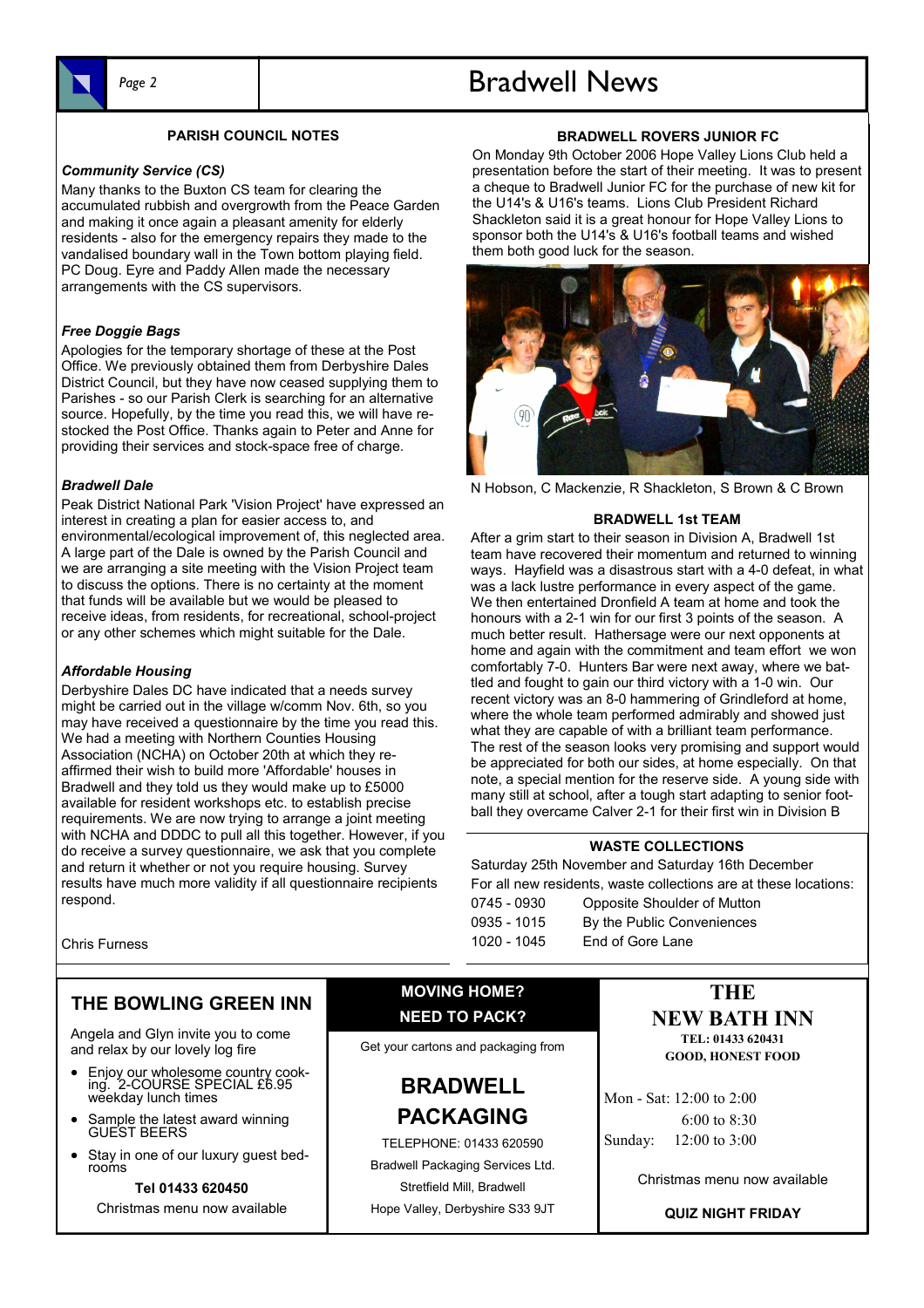

### PARISH COUNCIL NOTES

#### Community Service (CS)

Many thanks to the Buxton CS team for clearing the accumulated rubbish and overgrowth from the Peace Garden and making it once again a pleasant amenity for elderly residents - also for the emergency repairs they made to the vandalised boundary wall in the Town bottom playing field. PC Doug. Eyre and Paddy Allen made the necessary arrangements with the CS supervisors.

#### Free Doggie Bags

Apologies for the temporary shortage of these at the Post Office. We previously obtained them from Derbyshire Dales District Council, but they have now ceased supplying them to Parishes - so our Parish Clerk is searching for an alternative source. Hopefully, by the time you read this, we will have restocked the Post Office. Thanks again to Peter and Anne for providing their services and stock-space free of charge.

#### Bradwell Dale

Peak District National Park 'Vision Project' have expressed an interest in creating a plan for easier access to, and environmental/ecological improvement of, this neglected area. A large part of the Dale is owned by the Parish Council and we are arranging a site meeting with the Vision Project team to discuss the options. There is no certainty at the moment that funds will be available but we would be pleased to receive ideas, from residents, for recreational, school-project or any other schemes which might suitable for the Dale.

#### Affordable Housing

Derbyshire Dales DC have indicated that a needs survey might be carried out in the village w/comm Nov. 6th, so you may have received a questionnaire by the time you read this. We had a meeting with Northern Counties Housing Association (NCHA) on October 20th at which they reaffirmed their wish to build more 'Affordable' houses in Bradwell and they told us they would make up to £5000 available for resident workshops etc. to establish precise requirements. We are now trying to arrange a joint meeting with NCHA and DDDC to pull all this together. However, if you do receive a survey questionnaire, we ask that you complete and return it whether or not you require housing. Survey results have much more validity if all questionnaire recipients respond.

# Page 2 and 1 and 1 and 1 and 1 and 1 and 1 and 1 and 1 and 1 and 1 and 1 and 1 and 1 and 1 and 1 and 1 and 1 and 1 and 1 and 1 and 1 and 1 and 1 and 1 and 1 and 1 and 1 and 1 and 1 and 1 and 1 and 1 and 1 and 1 and 1 and 1

### BRADWELL ROVERS JUNIOR FC

On Monday 9th October 2006 Hope Valley Lions Club held a presentation before the start of their meeting. It was to present a cheque to Bradwell Junior FC for the purchase of new kit for the U14's & U16's teams. Lions Club President Richard Shackleton said it is a great honour for Hope Valley Lions to sponsor both the U14's & U16's football teams and wished them both good luck for the season.



N Hobson, C Mackenzie, R Shackleton, S Brown & C Brown

#### BRADWELL 1st TEAM

After a grim start to their season in Division A, Bradwell 1st team have recovered their momentum and returned to winning ways. Hayfield was a disastrous start with a 4-0 defeat, in what was a lack lustre performance in every aspect of the game. We then entertained Dronfield A team at home and took the honours with a 2-1 win for our first 3 points of the season. A much better result. Hathersage were our next opponents at home and again with the commitment and team effort we won comfortably 7-0. Hunters Bar were next away, where we battled and fought to gain our third victory with a 1-0 win. Our recent victory was an 8-0 hammering of Grindleford at home, where the whole team performed admirably and showed just what they are capable of with a brilliant team performance. The rest of the season looks very promising and support would be appreciated for both our sides, at home especially. On that note, a special mention for the reserve side. A young side with many still at school, after a tough start adapting to senior football they overcame Calver 2-1 for their first win in Division B

#### WASTE COLLECTIONS

Saturday 25th November and Saturday 16th December For all new residents, waste collections are at these locations: 0745 - 0930 Opposite Shoulder of Mutton 0935 - 1015 By the Public Conveniences 1020 - 1045 End of Gore Lane

Chris Furness

# THE BOWLING GREEN INN

Angela and Glyn invite you to come and relax by our lovely log fire

- Enjoy our wholesome country cooking. 2-COURSE SPECIAL £6.95 weekday lunch times
- Sample the latest award winning GUEST BEERS
- Stay in one of our luxury guest bedrooms

Tel 01433 620450 Christmas menu now available

# MOVING HOME? NEED TO PACK?

Get your cartons and packaging from

# BRADWELL PACKAGING

TELEPHONE: 01433 620590 Bradwell Packaging Services Ltd. Stretfield Mill, Bradwell Hope Valley, Derbyshire S33 9JT

# **THE** NEW BATH INN

TEL: 01433 620431 GOOD, HONEST FOOD

Mon - Sat: 12:00 to 2:00 6:00 to 8:30 Sunday: 12:00 to 3:00

Christmas menu now available

QUIZ NIGHT FRIDAY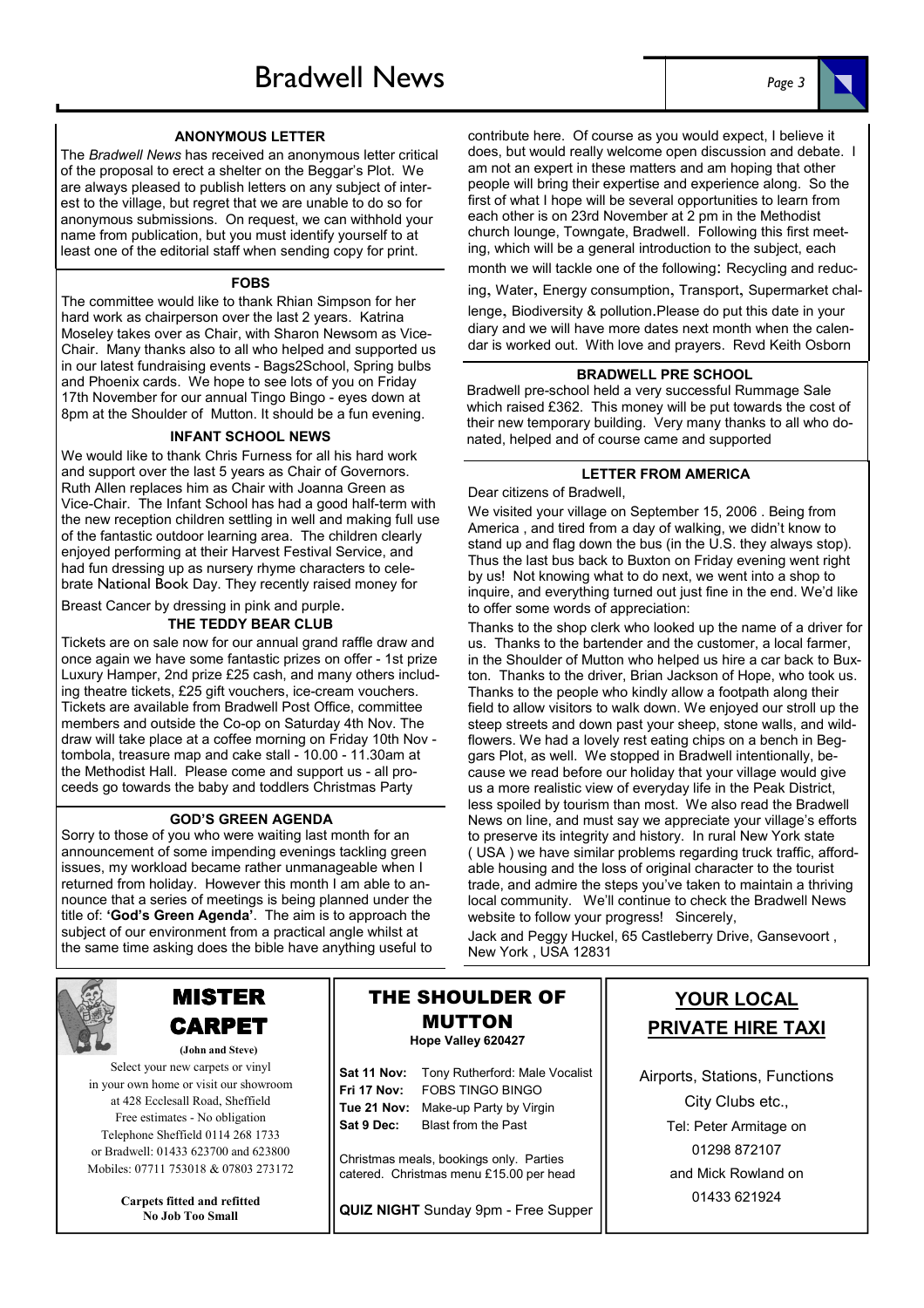#### ANONYMOUS LETTER

The Bradwell News has received an anonymous letter critical of the proposal to erect a shelter on the Beggar's Plot. We are always pleased to publish letters on any subject of interest to the village, but regret that we are unable to do so for anonymous submissions. On request, we can withhold your name from publication, but you must identify yourself to at least one of the editorial staff when sending copy for print.

#### FOBS

The committee would like to thank Rhian Simpson for her hard work as chairperson over the last 2 years. Katrina Moseley takes over as Chair, with Sharon Newsom as Vice-Chair. Many thanks also to all who helped and supported us in our latest fundraising events - Bags2School, Spring bulbs and Phoenix cards. We hope to see lots of you on Friday 17th November for our annual Tingo Bingo - eyes down at 8pm at the Shoulder of Mutton. It should be a fun evening.

#### INFANT SCHOOL NEWS

We would like to thank Chris Furness for all his hard work and support over the last 5 years as Chair of Governors. Ruth Allen replaces him as Chair with Joanna Green as Vice-Chair. The Infant School has had a good half-term with the new reception children settling in well and making full use of the fantastic outdoor learning area. The children clearly enjoyed performing at their Harvest Festival Service, and had fun dressing up as nursery rhyme characters to celebrate National Book Day. They recently raised money for

#### Breast Cancer by dressing in pink and purple.

#### THE TEDDY BEAR CLUB

Tickets are on sale now for our annual grand raffle draw and once again we have some fantastic prizes on offer - 1st prize Luxury Hamper, 2nd prize £25 cash, and many others including theatre tickets, £25 gift vouchers, ice-cream vouchers. Tickets are available from Bradwell Post Office, committee members and outside the Co-op on Saturday 4th Nov. The draw will take place at a coffee morning on Friday 10th Nov tombola, treasure map and cake stall - 10.00 - 11.30am at the Methodist Hall. Please come and support us - all proceeds go towards the baby and toddlers Christmas Party

#### GOD'S GREEN AGENDA

Sorry to those of you who were waiting last month for an announcement of some impending evenings tackling green issues, my workload became rather unmanageable when I returned from holiday. However this month I am able to announce that a series of meetings is being planned under the title of: 'God's Green Agenda'. The aim is to approach the subject of our environment from a practical angle whilst at the same time asking does the bible have anything useful to



# MISTER CARPET

(John and Steve) Select your new carpets or vinyl in your own home or visit our showroom at 428 Ecclesall Road, Sheffield Free estimates - No obligation Telephone Sheffield 0114 268 1733 or Bradwell: 01433 623700 and 623800 Mobiles: 07711 753018 & 07803 273172

> Carpets fitted and refitted No Job Too Small

## THE SHOULDER OF MUTTON Hope Valley 620427

| <b>Sat 11 Nov:</b> Tony Rutherford: Male Vocalist |
|---------------------------------------------------|
| <b>Fri 17 Nov: FOBS TINGO BINGO</b>               |
| Tue 21 Nov: Make-up Party by Virgin               |
| <b>Blast from the Past</b>                        |
|                                                   |

Christmas meals, bookings only. Parties catered. Christmas menu £15.00 per head

QUIZ NIGHT Sunday 9pm - Free Supper

#### contribute here. Of course as you would expect, I believe it does, but would really welcome open discussion and debate. I am not an expert in these matters and am hoping that other people will bring their expertise and experience along. So the first of what I hope will be several opportunities to learn from

each other is on 23rd November at 2 pm in the Methodist church lounge, Towngate, Bradwell. Following this first meeting, which will be a general introduction to the subject, each month we will tackle one of the following: Recycling and reduc-

ing, Water, Energy consumption, Transport, Supermarket chal-

lenge, Biodiversity & pollution.Please do put this date in your diary and we will have more dates next month when the calendar is worked out. With love and prayers. Revd Keith Osborn

#### BRADWELL PRE SCHOOL

Bradwell pre-school held a very successful Rummage Sale which raised £362. This money will be put towards the cost of their new temporary building. Very many thanks to all who donated, helped and of course came and supported

#### LETTER FROM AMERICA

Dear citizens of Bradwell,

We visited your village on September 15, 2006 . Being from America , and tired from a day of walking, we didn't know to stand up and flag down the bus (in the U.S. they always stop). Thus the last bus back to Buxton on Friday evening went right by us! Not knowing what to do next, we went into a shop to inquire, and everything turned out just fine in the end. We'd like to offer some words of appreciation:

Thanks to the shop clerk who looked up the name of a driver for us. Thanks to the bartender and the customer, a local farmer, in the Shoulder of Mutton who helped us hire a car back to Buxton. Thanks to the driver, Brian Jackson of Hope, who took us. Thanks to the people who kindly allow a footpath along their field to allow visitors to walk down. We enjoyed our stroll up the steep streets and down past your sheep, stone walls, and wildflowers. We had a lovely rest eating chips on a bench in Beggars Plot, as well. We stopped in Bradwell intentionally, because we read before our holiday that your village would give us a more realistic view of everyday life in the Peak District, less spoiled by tourism than most. We also read the Bradwell News on line, and must say we appreciate your village's efforts to preserve its integrity and history. In rural New York state ( USA ) we have similar problems regarding truck traffic, affordable housing and the loss of original character to the tourist trade, and admire the steps you've taken to maintain a thriving local community. We'll continue to check the Bradwell News website to follow your progress! Sincerely,

Jack and Peggy Huckel, 65 Castleberry Drive, Gansevoort , New York , USA 12831

# YOUR LOCAL PRIVATE HIRE TAXI

Airports, Stations, Functions City Clubs etc., Tel: Peter Armitage on 01298 872107 and Mick Rowland on 01433 621924